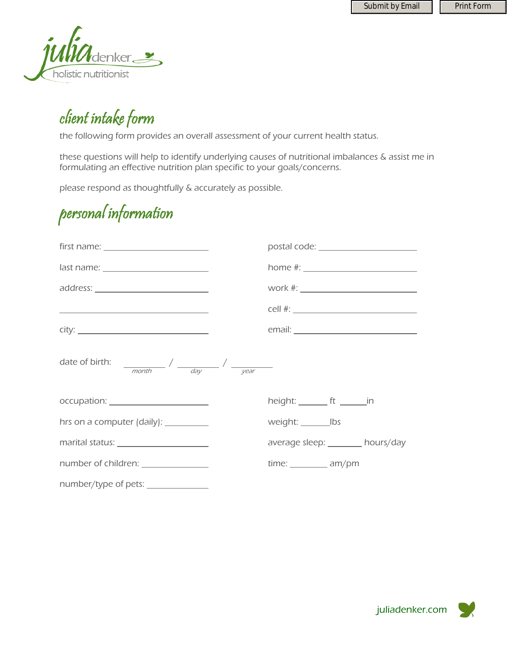

### client intake form

the following form provides an overall assessment of your current health status.

these questions will help to identify underlying causes of nutritional imbalances & assist me in formulating an effective nutrition plan specific to your goals/concerns.

please respond as thoughtfully & accurately as possible.

#### personal information

|                                                                                                                       |                                            | postal code: _______________________ |
|-----------------------------------------------------------------------------------------------------------------------|--------------------------------------------|--------------------------------------|
| $last name: ____________$                                                                                             |                                            |                                      |
|                                                                                                                       | work #: __________________________________ |                                      |
| <u> 1989 - Johann Harry Harry Harry Harry Harry Harry Harry Harry Harry Harry Harry Harry Harry Harry Harry Harry</u> |                                            |                                      |
|                                                                                                                       |                                            |                                      |
|                                                                                                                       |                                            |                                      |
| occupation: _______________________                                                                                   | height: $ft$ _________ in                  |                                      |
| hrs on a computer (daily): __________                                                                                 | weight: __________ lbs                     |                                      |
| marital status: <u>with a status</u>                                                                                  | average sleep: _______ hours/day           |                                      |
| number of children: ________________                                                                                  | $time:$ $am/pm$                            |                                      |
| number/type of pets: _______________                                                                                  |                                            |                                      |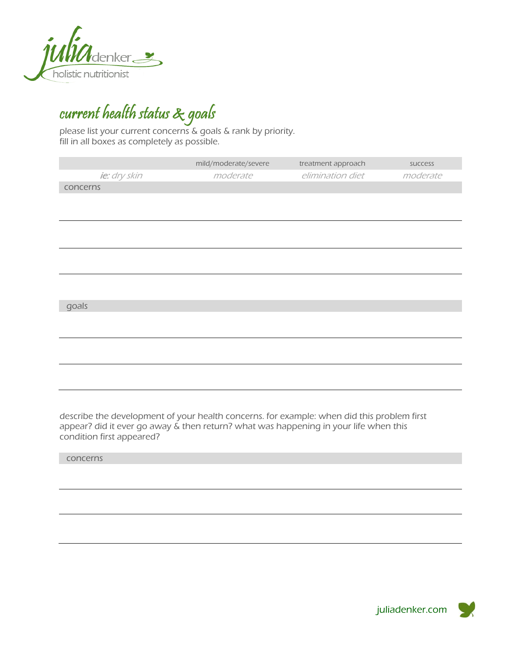

## current health status & goals

please list your current concerns & goals & rank by priority. fill in all boxes as completely as possible.

|              | mild/moderate/severe | treatment approach | success  |
|--------------|----------------------|--------------------|----------|
| ie: dry skin | moderate             | elimination diet   | moderate |
| concerns     |                      |                    |          |
|              |                      |                    |          |
|              |                      |                    |          |
|              |                      |                    |          |
|              |                      |                    |          |
|              |                      |                    |          |
|              |                      |                    |          |
|              |                      |                    |          |
|              |                      |                    |          |
| goals        |                      |                    |          |
|              |                      |                    |          |
|              |                      |                    |          |
|              |                      |                    |          |
|              |                      |                    |          |
|              |                      |                    |          |
|              |                      |                    |          |

describe the development of your health concerns. for example: when did this problem first appear? did it ever go away & then return? what was happening in your life when this condition first appeared?

concerns

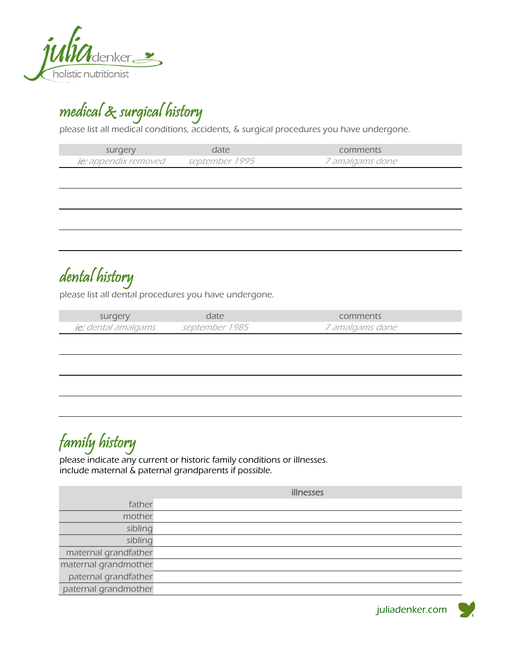

medical & surgical history

please list all medical conditions, accidents, & surgical procedures you have undergone.

| surgery              | date.          | comments               |
|----------------------|----------------|------------------------|
| ie: appendix removed | september 1995 | <i>7 amalgams done</i> |

dental history

please list all dental procedures you have undergone.

| surgery             | date           | comments               |
|---------------------|----------------|------------------------|
| ie: dental amalgams | september 1985 | <i>7 amalgams done</i> |

#### family history

please indicate any current or historic family conditions or illnesses. include maternal & paternal grandparents if possible.

|                      | illnesses |
|----------------------|-----------|
| father               |           |
| mother               |           |
| sibling              |           |
| sibling              |           |
| maternal grandfather |           |
| maternal grandmother |           |
| paternal grandfather |           |
| paternal grandmother |           |

juliadenker.com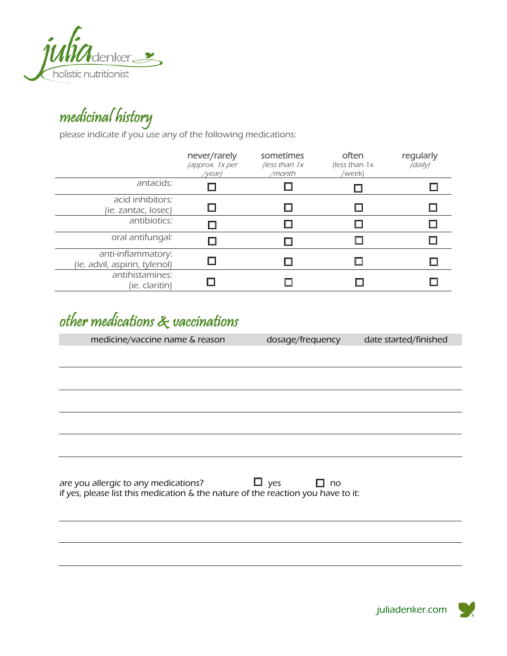

## medicinal history

please indicate if you use any of the following medications:

|                                                     | never/rarely<br>(approx. 1x per<br>/year) | sometimes<br>(less than $1x$<br>/month | often<br>(less than 1x)<br>/week) | regularly<br>(daily) |
|-----------------------------------------------------|-------------------------------------------|----------------------------------------|-----------------------------------|----------------------|
| antacids:                                           |                                           |                                        |                                   |                      |
| acid inhibitors:<br>(ie. zantac, losec)             |                                           |                                        |                                   |                      |
| antibiotics:                                        |                                           |                                        |                                   |                      |
| oral antifungal:                                    |                                           |                                        |                                   |                      |
| anti-inflammatory:<br>(ie. advil, aspirin, tylenol) |                                           |                                        |                                   |                      |
| antihistamines:<br>(ie. claritin)                   |                                           |                                        |                                   |                      |

#### other medications & vaccinations

medicine/vaccine name & reason dosage/frequency date started/finished

are you allergic to any medications?  $\square$  yes  $\square$  no if yes, please list this medication & the nature of the reaction you have to it:

juliadenker.com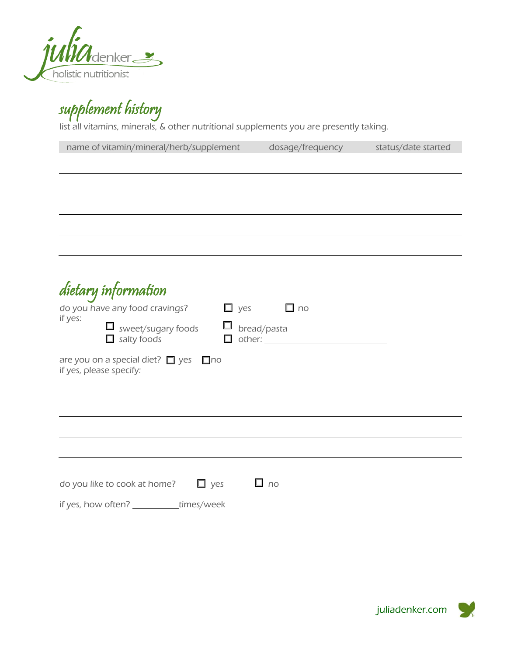

supplement history

list all vitamins, minerals, & other nutritional supplements you are presently taking.

| name of vitamin/mineral/herb/supplement         | dosage/frequency | status/date started |
|-------------------------------------------------|------------------|---------------------|
|                                                 |                  |                     |
|                                                 |                  |                     |
|                                                 |                  |                     |
|                                                 |                  |                     |
|                                                 |                  |                     |
|                                                 |                  |                     |
|                                                 |                  |                     |
|                                                 |                  |                     |
| dietary information                             |                  |                     |
| do you have any food cravings?<br>$\square$ yes | $\square$ no     |                     |
| if yes:<br>$\Box$ sweet/sugary foods<br>$\Box$  | bread/pasta      |                     |
| $\Box$ salty foods<br>$\Box$                    |                  |                     |
| are you on a special diet? $\Box$ yes $\Box$ no |                  |                     |
| if yes, please specify:                         |                  |                     |
|                                                 |                  |                     |
|                                                 |                  |                     |
|                                                 |                  |                     |
|                                                 |                  |                     |
|                                                 |                  |                     |
|                                                 |                  |                     |
| $\Box$ yes<br>do you like to cook at home?      | $\square$ no     |                     |
| if yes, how often? _<br>times/week              |                  |                     |

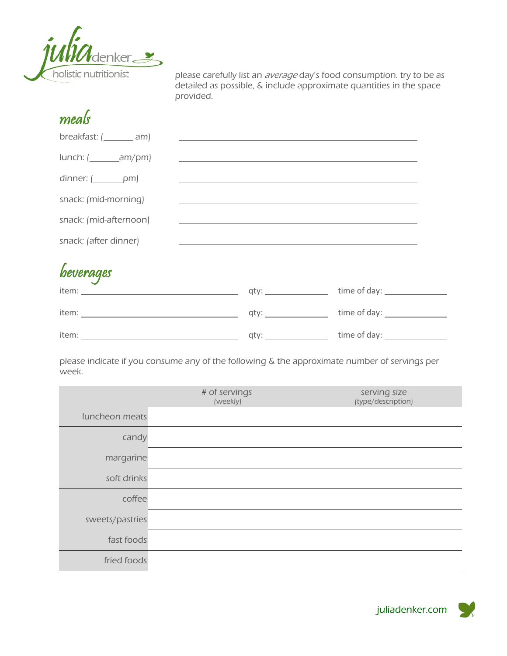

meals

please carefully list an *average* day's food consumption. try to be as detailed as possible, & include approximate quantities in the space provided.

| $breakfast: ($ am                                                                      | <u> 1989 - John Stein, september 1989 - John Stein, september 1989 - John Stein, september 1989 - John Stein, sep</u> |                    |
|----------------------------------------------------------------------------------------|-----------------------------------------------------------------------------------------------------------------------|--------------------|
|                                                                                        | <u> 1989 - Johann Barn, amerikansk politiker (d. 1989)</u>                                                            |                    |
| dinner: $(\underline{\hspace{2cm}}$ pm)                                                |                                                                                                                       |                    |
| snack: (mid-morning)                                                                   |                                                                                                                       |                    |
| snack: (mid-afternoon)                                                                 | <u> 1989 - Johann Stein, mars an de Frankryk (f. 1989)</u>                                                            |                    |
| snack: (after dinner)                                                                  |                                                                                                                       |                    |
|                                                                                        |                                                                                                                       |                    |
|                                                                                        |                                                                                                                       |                    |
| item: www.archive.com/www.archive.com/www.archive.com/www.archive.com/www.archive.com/ |                                                                                                                       | time of day: 1999. |
|                                                                                        |                                                                                                                       |                    |

please indicate if you consume any of the following & the approximate number of servings per week.

|                 | # of servings<br>(weekly) | serving size<br>(type/description) |
|-----------------|---------------------------|------------------------------------|
| luncheon meats  |                           |                                    |
| candy           |                           |                                    |
| margarine       |                           |                                    |
| soft drinks     |                           |                                    |
| coffee          |                           |                                    |
| sweets/pastries |                           |                                    |
| fast foods      |                           |                                    |
| fried foods     |                           |                                    |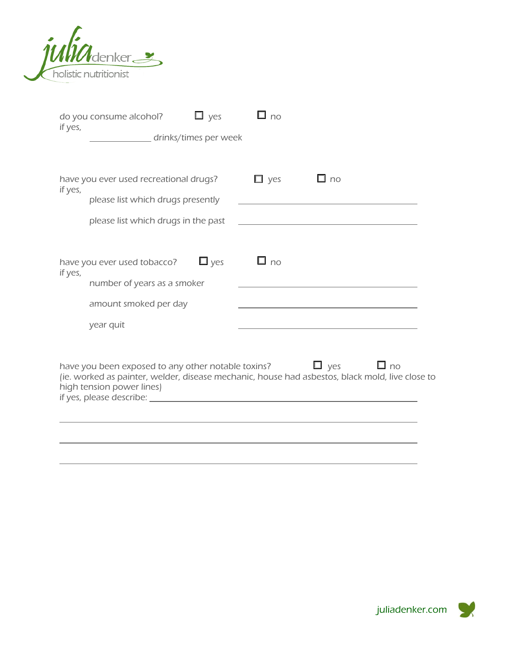

| if yes, | do you consume alcohol?                                                         | $\square$ yes | $\square$ no |                                                                                                                               |
|---------|---------------------------------------------------------------------------------|---------------|--------------|-------------------------------------------------------------------------------------------------------------------------------|
|         | drinks/times per week                                                           |               |              |                                                                                                                               |
|         |                                                                                 |               |              |                                                                                                                               |
| if yes, | have you ever used recreational drugs?                                          |               | $\Box$ yes   | $\Box$ no                                                                                                                     |
|         | please list which drugs presently                                               |               |              | <u> 1989 - Johann Barbara, martin amerikan basal dan berasal dan berasal dalam basal dalam basal dan berasal dan</u>          |
|         | please list which drugs in the past                                             |               |              |                                                                                                                               |
|         |                                                                                 |               |              |                                                                                                                               |
| if yes, | have you ever used tobacco?                                                     | $\square$ yes | $\Box$ no    |                                                                                                                               |
|         | number of years as a smoker                                                     |               |              |                                                                                                                               |
|         | amount smoked per day                                                           |               |              |                                                                                                                               |
|         | year quit                                                                       |               |              |                                                                                                                               |
|         |                                                                                 |               |              |                                                                                                                               |
|         | have you been exposed to any other notable toxins?<br>high tension power lines) |               |              | $\square$ yes<br>$\Box$ no<br>(ie. worked as painter, welder, disease mechanic, house had asbestos, black mold, live close to |
|         |                                                                                 |               |              |                                                                                                                               |
|         |                                                                                 |               |              |                                                                                                                               |
|         |                                                                                 |               |              |                                                                                                                               |
|         |                                                                                 |               |              |                                                                                                                               |

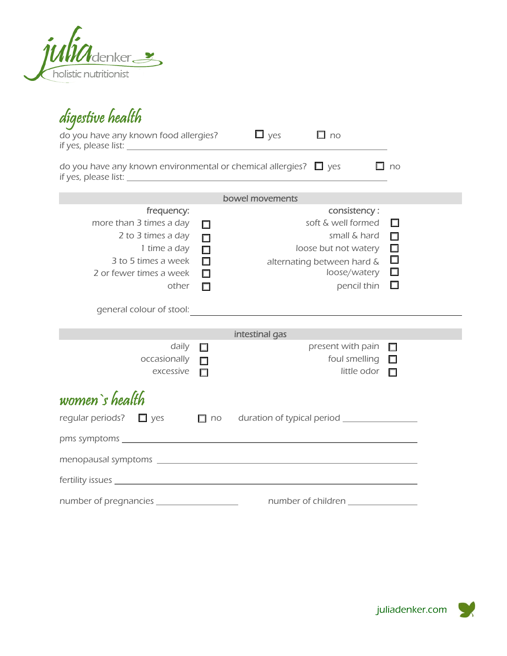

| digestive health                                                                                                                                                                                                                                                                                              |                                                     |                                                                                                                                         |                                                |
|---------------------------------------------------------------------------------------------------------------------------------------------------------------------------------------------------------------------------------------------------------------------------------------------------------------|-----------------------------------------------------|-----------------------------------------------------------------------------------------------------------------------------------------|------------------------------------------------|
| do you have any known food allergies? $\Box$ yes                                                                                                                                                                                                                                                              |                                                     | $\Box$ no                                                                                                                               |                                                |
| do you have any known environmental or chemical allergies? $\Box$ yes<br>if yes, please list: <u>contract and a set of the set of the set of the set of the set of the set of the set of the set of the set of the set of the set of the set of the set of the set of the set of the set of the set of th</u> |                                                     |                                                                                                                                         | $\Box$ no                                      |
|                                                                                                                                                                                                                                                                                                               |                                                     | bowel movements                                                                                                                         |                                                |
| frequency:<br>more than 3 times a day<br>2 to 3 times a day<br>1 time a day<br>3 to 5 times a week<br>2 or fewer times a week<br>other                                                                                                                                                                        | $\Box$<br>$\Box$<br>$\Box$<br>$\Box$<br>□<br>$\Box$ | consistency:<br>soft & well formed<br>small & hard<br>loose but not watery<br>alternating between hard &<br>loose/watery<br>pencil thin | □<br>$\Box$<br>$\Box$<br>$\Box$<br>$\Box$<br>□ |
|                                                                                                                                                                                                                                                                                                               |                                                     |                                                                                                                                         |                                                |
|                                                                                                                                                                                                                                                                                                               |                                                     | intestinal gas                                                                                                                          |                                                |
| daily<br>occasionally<br>excessive                                                                                                                                                                                                                                                                            | $\Box$<br>П<br>П                                    | present with pain<br>foul smelling<br>little odor                                                                                       | $\Box$<br>$\Box$<br>П                          |
| women's health<br>regular periods? $\Box$ yes                                                                                                                                                                                                                                                                 | $\Box$ no                                           | duration of typical period __________________                                                                                           |                                                |
|                                                                                                                                                                                                                                                                                                               |                                                     |                                                                                                                                         |                                                |
|                                                                                                                                                                                                                                                                                                               |                                                     |                                                                                                                                         |                                                |
|                                                                                                                                                                                                                                                                                                               |                                                     |                                                                                                                                         |                                                |
| number of pregnancies _________________                                                                                                                                                                                                                                                                       |                                                     |                                                                                                                                         |                                                |

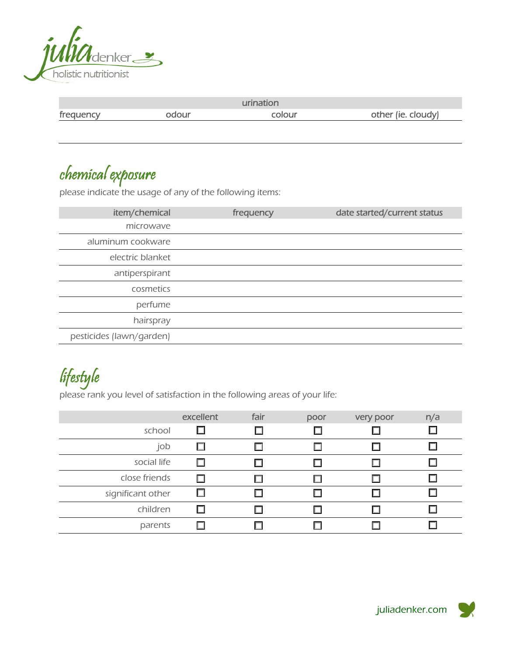

|           |       | urination |                    |
|-----------|-------|-----------|--------------------|
| frequency | odour | colour    | other (ie. cloudy) |

chemical exposure

please indicate the usage of any of the following items:

| item/chemical            | frequency | date started/current status |
|--------------------------|-----------|-----------------------------|
| microwave                |           |                             |
| aluminum cookware        |           |                             |
| electric blanket         |           |                             |
| antiperspirant           |           |                             |
| cosmetics                |           |                             |
| perfume                  |           |                             |
| hairspray                |           |                             |
| pesticides (lawn/garden) |           |                             |

lifestyle

please rank you level of satisfaction in the following areas of your life:

|                   | excellent | fair | poor | very poor | n/a |
|-------------------|-----------|------|------|-----------|-----|
| school            | ш         |      |      |           |     |
| job               |           |      |      |           |     |
| social life       |           |      |      |           |     |
| close friends     |           |      |      |           |     |
| significant other |           |      |      |           |     |
| children          |           |      |      |           |     |
| parents           |           |      |      |           |     |

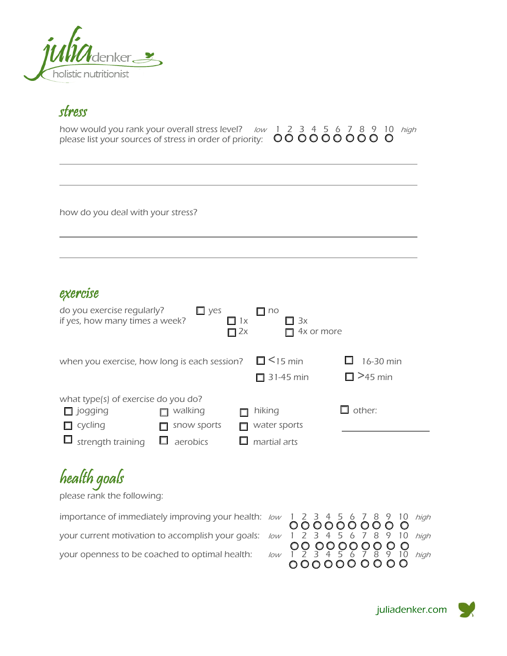

#### stress

 $\overline{a}$ 

 $\overline{a}$ 

 $\overline{a}$ 

| how would you rank your overall stress level? <i>Iow</i> 1 2 3 4 5 6 7 8 9 10 <i>high</i>                                                                              |  |  |  |  |  |  |  |
|------------------------------------------------------------------------------------------------------------------------------------------------------------------------|--|--|--|--|--|--|--|
| please list your sources of stress in order of priority: $\  \  \, \mathbb{O} \mathbb{O} \mathbb{O} \mathbb{O} \mathbb{O} \mathbb{O} \mathbb{O} \mathbb{O} \mathbb{O}$ |  |  |  |  |  |  |  |

how do you deal with your stress?

#### exercise

| do you exercise regularly?<br>if yes, how many times a week? | $\Box$ yes      | $\Box$ 1x<br>$\Box$ 2x | $\Box$ no<br>$\Box$ 3x<br>4x or more |                             |
|--------------------------------------------------------------|-----------------|------------------------|--------------------------------------|-----------------------------|
| when you exercise, how long is each session?                 |                 |                        | $\Box$ < 15 min<br>$\Box$ 31-45 min  | 16-30 min<br>$\Box$ >45 min |
| what type(s) of exercise do you do?                          |                 |                        |                                      |                             |
| $\Box$ jogging                                               | walking         |                        | hiking                               | other:                      |
| cycling                                                      | snow sports     |                        | water sports                         |                             |
| strength training                                            | $\Box$ aerobics |                        | martial arts                         |                             |

# health goals

please rank the following:

importance of immediately improving your health:  $low$  1 2 3 4 5 6 7 8 9 10 *high* your current motivation to accomplish your goals:  $low$  1 2 3 4 5 6 7 8 9 10 *high* your openness to be coached to optimal health: low 1 2 3 4 5 6 7 8 9 10 high